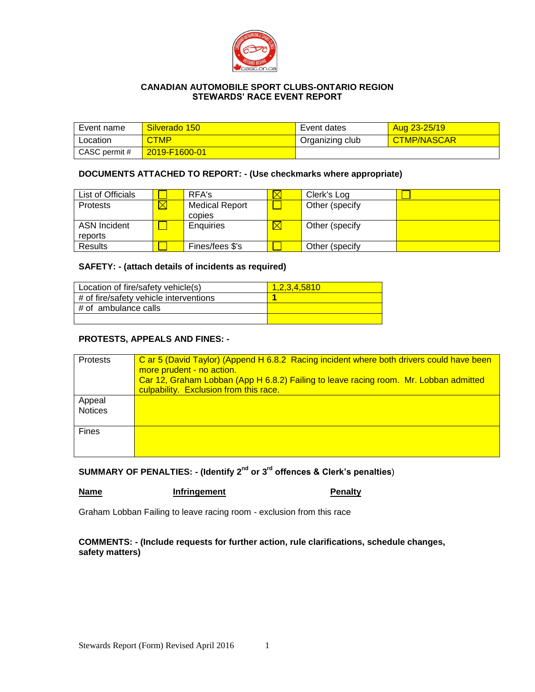

## **CANADIAN AUTOMOBILE SPORT CLUBS-ONTARIO REGION STEWARDS' RACE EVENT REPORT**

| Event name    | Silverado 150 | Event dates     | Aug 23-25/19       |
|---------------|---------------|-----------------|--------------------|
| Location      | <b>CTMP</b>   | Organizing club | <b>CTMP/NASCAR</b> |
| CASC permit # | 2019-F1600-01 |                 |                    |

#### **DOCUMENTS ATTACHED TO REPORT: - (Use checkmarks where appropriate)**

| List of Officials   | RFA's                 | Clerk's Log     |  |
|---------------------|-----------------------|-----------------|--|
| <b>Protests</b>     | <b>Medical Report</b> | Other (specify  |  |
|                     | copies                |                 |  |
| <b>ASN Incident</b> | Enquiries             | Other (specify  |  |
| reports             |                       |                 |  |
| Results             | Fines/fees \$'s       | Other (specify) |  |

### **SAFETY: - (attach details of incidents as required)**

| Location of fire/safety vehicle(s)        | 1.2.3.4.5810 |
|-------------------------------------------|--------------|
| $\#$ of fire/safety vehicle interventions |              |
| # of ambulance calls                      |              |
|                                           |              |

### **PROTESTS, APPEALS AND FINES: -**

| Protests                 | C ar 5 (David Taylor) (Append H 6.8.2 Racing incident where both drivers could have been<br>more prudent - no action.<br>Car 12, Graham Lobban (App H 6.8.2) Failing to leave racing room. Mr. Lobban admitted<br>culpability. Exclusion from this race. |
|--------------------------|----------------------------------------------------------------------------------------------------------------------------------------------------------------------------------------------------------------------------------------------------------|
| Appeal<br><b>Notices</b> |                                                                                                                                                                                                                                                          |
| <b>Fines</b>             |                                                                                                                                                                                                                                                          |

**SUMMARY OF PENALTIES: - (Identify 2nd or 3rd offences & Clerk's penalties**)

**Name Infringement Penalty** 

Graham Lobban Failing to leave racing room - exclusion from this race

**COMMENTS: - (Include requests for further action, rule clarifications, schedule changes, safety matters)**